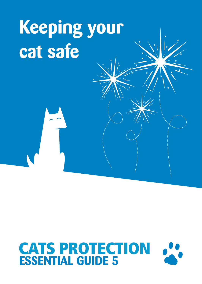## **Keeping your cat safe**

# **CATS PROTECTION**<br>**ESSENTIAL GUIDE 5**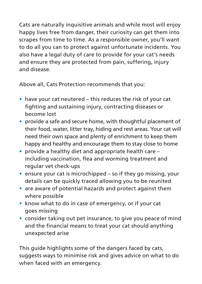Cats are naturally inquisitive animals and while most will enjoy happy lives free from danger, their curiosity can get them into scrapes from time to time. As a responsible owner, you'll want to do all you can to protect against unfortunate incidents. You also have a legal duty of care to provide for your cat's needs and ensure they are protected from pain, suffering, injury and disease.

Above all, Cats Protection recommends that you:

- **•** have your cat neutered this reduces the risk of your cat fighting and sustaining injury, contracting diseases or become lost
- **•** provide a safe and secure home, with thoughtful placement of their food, water, litter tray, hiding and rest areas. Your cat will need their own space and plenty of enrichment to keep them happy and healthy and encourage them to stay close to home
- **•** provide a healthy diet and appropriate health care including vaccination, flea and worming treatment and regular vet check-ups
- **•** ensure your cat is microchipped so if they go missing, your details can be quickly traced allowing you to be reunited
- **•** are aware of potential hazards and protect against them where possible
- **•** know what to do in case of emergency, or if your cat goes missing
- **•** consider taking out pet insurance, to give you peace of mind and the financial means to treat your cat should anything unexpected arise

This guide highlights some of the dangers faced by cats, suggests ways to minimise risk and gives advice on what to do when faced with an emergency.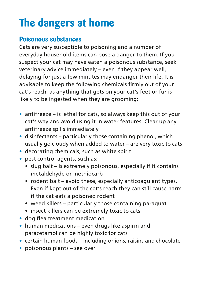## **The dangers at home**

#### **Poisonous substances**

Cats are very susceptible to poisoning and a number of everyday household items can pose a danger to them. If you suspect your cat may have eaten a poisonous substance, seek veterinary advice immediately – even if they appear well, delaying for just a few minutes may endanger their life. It is advisable to keep the following chemicals firmly out of your cat's reach, as anything that gets on your cat's feet or fur is likely to be ingested when they are grooming:

- **•** antifreeze is lethal for cats, so always keep this out of your cat's way and avoid using it in water features. Clear up any antifreeze spills immediately
- **•** disinfectants particularly those containing phenol, which usually go cloudy when added to water – are very toxic to cats
- **•** decorating chemicals, such as white spirit
- **•** pest control agents, such as:
	- slug bait is extremely poisonous, especially if it contains metaldehyde or methiocarb
	- rodent bait avoid these, especially anticoagulant types. Even if kept out of the cat's reach they can still cause harm if the cat eats a poisoned rodent
	- weed killers particularly those containing paraquat
	- insect killers can be extremely toxic to cats
- **•** dog flea treatment medication
- **•** human medications even drugs like aspirin and paracetamol can be highly toxic for cats
- **•** certain human foods including onions, raisins and chocolate
- **•** poisonous plants see over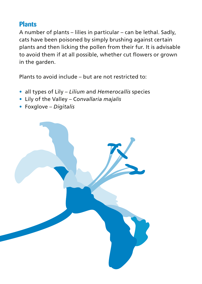#### **Plants**

A number of plants – lilies in particular – can be lethal. Sadly, cats have been poisoned by simply brushing against certain plants and then licking the pollen from their fur. It is advisable to avoid them if at all possible, whether cut flowers or grown in the garden.

Plants to avoid include – but are not restricted to:

- **•** all types of Lily *Lilium* and *Hemerocallis* species
- **•** Lily of the Valley C*onvallaria majalis*
- **•** Foxglove *Digitalis*

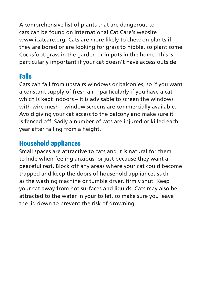A comprehensive list of plants that are dangerous to cats can be found on International Cat Care's website www.icatcare.org. Cats are more likely to chew on plants if they are bored or are looking for grass to nibble, so plant some Cocksfoot grass in the garden or in pots in the home. This is particularly important if your cat doesn't have access outside.

#### **Falls**

Cats can fall from upstairs windows or balconies, so if you want a constant supply of fresh air – particularly if you have a cat which is kept indoors – it is advisable to screen the windows with wire mesh – window screens are commercially available. Avoid giving your cat access to the balcony and make sure it is fenced off. Sadly a number of cats are injured or killed each year after falling from a height.

#### **Household appliances**

Small spaces are attractive to cats and it is natural for them to hide when feeling anxious, or just because they want a peaceful rest. Block off any areas where your cat could become trapped and keep the doors of household appliances such as the washing machine or tumble dryer, firmly shut. Keep your cat away from hot surfaces and liquids. Cats may also be attracted to the water in your toilet, so make sure you leave the lid down to prevent the risk of drowning.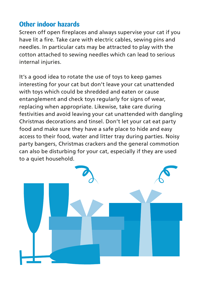#### **Other indoor hazards**

Screen off open fireplaces and always supervise your cat if you have lit a fire. Take care with electric cables, sewing pins and needles. In particular cats may be attracted to play with the cotton attached to sewing needles which can lead to serious internal injuries.

It's a good idea to rotate the use of toys to keep games interesting for your cat but don't leave your cat unattended with toys which could be shredded and eaten or cause entanglement and check toys regularly for signs of wear, replacing when appropriate. Likewise, take care during festivities and avoid leaving your cat unattended with dangling Christmas decorations and tinsel. Don't let your cat eat party food and make sure they have a safe place to hide and easy access to their food, water and litter tray during parties. Noisy party bangers, Christmas crackers and the general commotion can also be disturbing for your cat, especially if they are used to a quiet household.

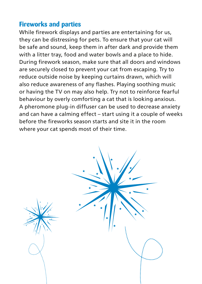#### **Fireworks and parties**

While firework displays and parties are entertaining for us, they can be distressing for pets. To ensure that your cat will be safe and sound, keep them in after dark and provide them with a litter tray, food and water bowls and a place to hide. During firework season, make sure that all doors and windows are securely closed to prevent your cat from escaping. Try to reduce outside noise by keeping curtains drawn, which will also reduce awareness of any flashes. Playing soothing music or having the TV on may also help. Try not to reinforce fearful behaviour by overly comforting a cat that is looking anxious. A pheromone plug-in diffuser can be used to decrease anxiety and can have a calming effect – start using it a couple of weeks before the fireworks season starts and site it in the room where your cat spends most of their time.

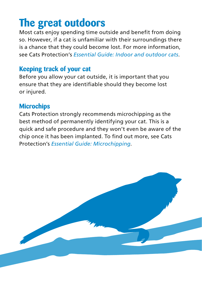## **The great outdoors**

Most cats enjoy spending time outside and benefit from doing so. However, if a cat is unfamiliar with their surroundings there is a chance that they could become lost. For more information, see Cats Protection's *Essential Guide: Indoor and outdoor cats*.

#### **Keeping track of your cat**

Before you allow your cat outside, it is important that you ensure that they are identifiable should they become lost or injured.

#### **Microchips**

Cats Protection strongly recommends microchipping as the best method of permanently identifying your cat. This is a quick and safe procedure and they won't even be aware of the chip once it has been implanted. To find out more, see Cats Protection's *Essential Guide: Microchipping*.

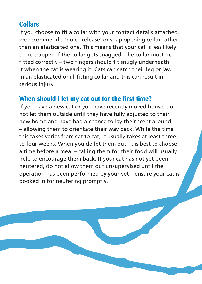#### **Collars**

If you choose to fit a collar with your contact details attached, we recommend a 'quick release' or snap opening collar rather than an elasticated one. This means that your cat is less likely to be trapped if the collar gets snagged. The collar must be fitted correctly – two fingers should fit snugly underneath it when the cat is wearing it. Cats can catch their leg or jaw in an elasticated or ill-fitting collar and this can result in serious injury.

#### **When should I let my cat out for the first time?**

If you have a new cat or you have recently moved house, do not let them outside until they have fully adjusted to their new home and have had a chance to lay their scent around – allowing them to orientate their way back. While the time this takes varies from cat to cat, it usually takes at least three to four weeks. When you do let them out, it is best to choose a time before a meal – calling them for their food will usually help to encourage them back. If your cat has not yet been neutered, do not allow them out unsupervised until the operation has been performed by your vet – ensure your cat is booked in for neutering promptly.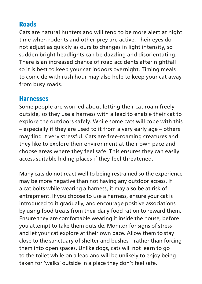#### **Roads**

Cats are natural hunters and will tend to be more alert at night time when rodents and other prey are active. Their eyes do not adjust as quickly as ours to changes in light intensity, so sudden bright headlights can be dazzling and disorientating. There is an increased chance of road accidents after nightfall so it is best to keep your cat indoors overnight. Timing meals to coincide with rush hour may also help to keep your cat away from busy roads.

#### **Harnesses**

Some people are worried about letting their cat roam freely outside, so they use a harness with a lead to enable their cat to explore the outdoors safely. While some cats will cope with this – especially if they are used to it from a very early age – others may find it very stressful. Cats are free-roaming creatures and they like to explore their environment at their own pace and choose areas where they feel safe. This ensures they can easily access suitable hiding places if they feel threatened.

Many cats do not react well to being restrained so the experience may be more negative than not having any outdoor access. If a cat bolts while wearing a harness, it may also be at risk of entrapment. If you choose to use a harness, ensure your cat is introduced to it gradually, and encourage positive associations by using food treats from their daily food ration to reward them. Ensure they are comfortable wearing it inside the house, before you attempt to take them outside. Monitor for signs of stress and let your cat explore at their own pace. Allow them to stay close to the sanctuary of shelter and bushes – rather than forcing them into open spaces. Unlike dogs, cats will not learn to go to the toilet while on a lead and will be unlikely to enjoy being taken for 'walks' outside in a place they don't feel safe.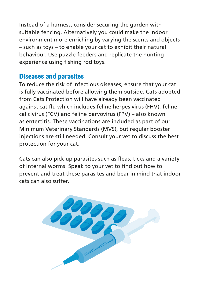Instead of a harness, consider securing the garden with suitable fencing. Alternatively you could make the indoor environment more enriching by varying the scents and objects – such as toys – to enable your cat to exhibit their natural behaviour. Use puzzle feeders and replicate the hunting experience using fishing rod toys.

#### **Diseases and parasites**

To reduce the risk of infectious diseases, ensure that your cat is fully vaccinated before allowing them outside. Cats adopted from Cats Protection will have already been vaccinated against cat flu which includes feline herpes virus (FHV), feline calicivirus (FCV) and feline parvovirus (FPV) – also known as entertitis. These vaccinations are included as part of our Minimum Veterinary Standards (MVS), but regular booster injections are still needed. Consult your vet to discuss the best protection for your cat.

Cats can also pick up parasites such as fleas, ticks and a variety of internal worms. Speak to your vet to find out how to prevent and treat these parasites and bear in mind that indoor cats can also suffer.

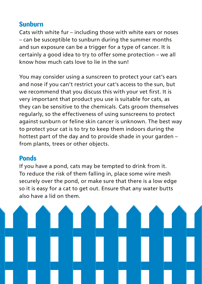#### **Sunburn**

Cats with white fur – including those with white ears or noses – can be susceptible to sunburn during the summer months and sun exposure can be a trigger for a type of cancer. It is certainly a good idea to try to offer some protection – we all know how much cats love to lie in the sun!

You may consider using a sunscreen to protect your cat's ears and nose if you can't restrict your cat's access to the sun, but we recommend that you discuss this with your vet first. It is very important that product you use is suitable for cats, as they can be sensitive to the chemicals. Cats groom themselves regularly, so the effectiveness of using sunscreens to protect against sunburn or feline skin cancer is unknown. The best way to protect your cat is to try to keep them indoors during the hottest part of the day and to provide shade in your garden – from plants, trees or other objects.

#### **Ponds**

If you have a pond, cats may be tempted to drink from it. To reduce the risk of them falling in, place some wire mesh securely over the pond, or make sure that there is a low edge so it is easy for a cat to get out. Ensure that any water butts also have a lid on them.

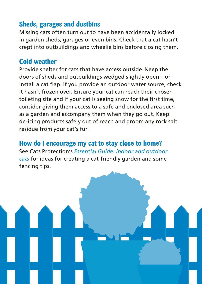#### **Sheds, garages and dustbins**

Missing cats often turn out to have been accidentally locked in garden sheds, garages or even bins. Check that a cat hasn't crept into outbuildings and wheelie bins before closing them.

#### **Cold weather**

Provide shelter for cats that have access outside. Keep the doors of sheds and outbuildings wedged slightly open – or install a cat flap. If you provide an outdoor water source, check it hasn't frozen over. Ensure your cat can reach their chosen toileting site and if your cat is seeing snow for the first time, consider giving them access to a safe and enclosed area such as a garden and accompany them when they go out. Keep de-icing products safely out of reach and groom any rock salt residue from your cat's fur.

**How do I encourage my cat to stay close to home?** See Cats Protection's *Essential Guide: Indoor and outdoor cats* for ideas for creating a cat-friendly garden and some fencing tips.

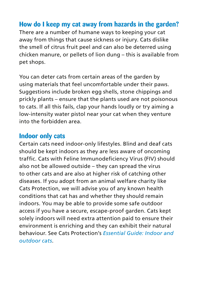#### **How do I keep my cat away from hazards in the garden?**

There are a number of humane ways to keeping your cat away from things that cause sickness or injury. Cats dislike the smell of citrus fruit peel and can also be deterred using chicken manure, or pellets of lion dung – this is available from pet shops.

You can deter cats from certain areas of the garden by using materials that feel uncomfortable under their paws. Suggestions include broken egg shells, stone chippings and prickly plants – ensure that the plants used are not poisonous to cats. If all this fails, clap your hands loudly or try aiming a low-intensity water pistol near your cat when they venture into the forbidden area.

#### **Indoor only cats**

Certain cats need indoor-only lifestyles. Blind and deaf cats should be kept indoors as they are less aware of oncoming traffic. Cats with Feline Immunodeficiency Virus (FIV) should also not be allowed outside – they can spread the virus to other cats and are also at higher risk of catching other diseases. If you adopt from an animal welfare charity like Cats Protection, we will advise you of any known health conditions that cat has and whether they should remain indoors. You may be able to provide some safe outdoor access if you have a secure, escape-proof garden. Cats kept solely indoors will need extra attention paid to ensure their environment is enriching and they can exhibit their natural behaviour. See Cats Protection's *Essential Guide: Indoor and outdoor cats*.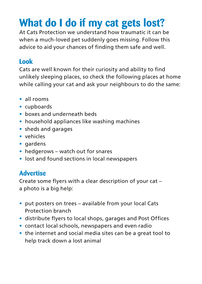## **What do I do if my cat gets lost?**

At Cats Protection we understand how traumatic it can be when a much-loved pet suddenly goes missing. Follow this advice to aid your chances of finding them safe and well.

#### **Look**

Cats are well known for their curiosity and ability to find unlikely sleeping places, so check the following places at home while calling your cat and ask your neighbours to do the same:

- **•** all rooms
- **•** cupboards
- **•** boxes and underneath beds
- **•** household appliances like washing machines
- **•** sheds and garages
- **•** vehicles
- **•** gardens
- **•** hedgerows watch out for snares
- **•** lost and found sections in local newspapers

#### **Advertise**

Create some flyers with a clear description of your cat – a photo is a big help:

- **•** put posters on trees available from your local Cats Protection branch
- **•** distribute flyers to local shops, garages and Post Offices
- **•** contact local schools, newspapers and even radio
- **•** the internet and social media sites can be a great tool to help track down a lost animal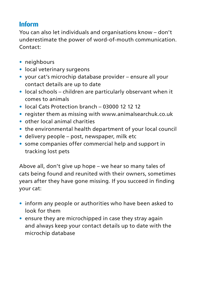#### **Inform**

You can also let individuals and organisations know – don't underestimate the power of word-of-mouth communication. Contact:

- **•** neighbours
- **•** local veterinary surgeons
- **•** your cat's microchip database provider ensure all your contact details are up to date
- **•** local schools children are particularly observant when it comes to animals
- **•** local Cats Protection branch 03000 12 12 12
- **•** register them as missing with www.animalsearchuk.co.uk
- **•** other local animal charities
- **•** the environmental health department of your local council
- **•** delivery people post, newspaper, milk etc
- **•** some companies offer commercial help and support in tracking lost pets

Above all, don't give up hope – we hear so many tales of cats being found and reunited with their owners, sometimes years after they have gone missing. If you succeed in finding your cat:

- **•** inform any people or authorities who have been asked to look for them
- **•** ensure they are microchipped in case they stray again and always keep your contact details up to date with the microchip database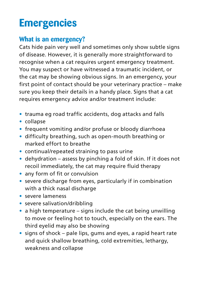## **Emergencies**

#### **What is an emergency?**

Cats hide pain very well and sometimes only show subtle signs of disease. However, it is generally more straightforward to recognise when a cat requires urgent emergency treatment. You may suspect or have witnessed a traumatic incident, or the cat may be showing obvious signs. In an emergency, your first point of contact should be your veterinary practice – make sure you keep their details in a handy place. Signs that a cat requires emergency advice and/or treatment include:

- **•** trauma eg road traffic accidents, dog attacks and falls
- **•** collapse
- **•** frequent vomiting and/or profuse or bloody diarrhoea
- **•** difficulty breathing, such as open-mouth breathing or marked effort to breathe
- **•** continual/repeated straining to pass urine
- **•** dehydration assess by pinching a fold of skin. If it does not recoil immediately, the cat may require fluid therapy
- **•** any form of fit or convulsion
- **•** severe discharge from eyes, particularly if in combination with a thick nasal discharge
- **•** severe lameness
- **•** severe salivation/dribbling
- **•** a high temperature signs include the cat being unwilling to move or feeling hot to touch, especially on the ears. The third eyelid may also be showing
- **•** signs of shock pale lips, gums and eyes, a rapid heart rate and quick shallow breathing, cold extremities, lethargy, weakness and collapse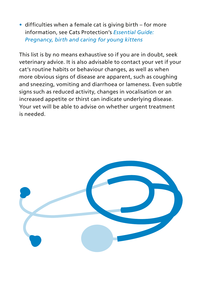**•** difficulties when a female cat is giving birth – for more information, see Cats Protection's *Essential Guide: Pregnancy, birth and caring for young kittens*

This list is by no means exhaustive so if you are in doubt, seek veterinary advice. It is also advisable to contact your vet if your cat's routine habits or behaviour changes, as well as when more obvious signs of disease are apparent, such as coughing and sneezing, vomiting and diarrhoea or lameness. Even subtle signs such as reduced activity, changes in vocalisation or an increased appetite or thirst can indicate underlying disease. Your vet will be able to advise on whether urgent treatment is needed.

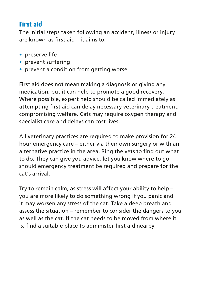#### **First aid**

The initial steps taken following an accident, illness or injury are known as first aid – it aims to:

- **•** preserve life
- **•** prevent suffering
- **•** prevent a condition from getting worse

First aid does not mean making a diagnosis or giving any medication, but it can help to promote a good recovery. Where possible, expert help should be called immediately as attempting first aid can delay necessary veterinary treatment, compromising welfare. Cats may require oxygen therapy and specialist care and delays can cost lives.

All veterinary practices are required to make provision for 24 hour emergency care – either via their own surgery or with an alternative practice in the area. Ring the vets to find out what to do. They can give you advice, let you know where to go should emergency treatment be required and prepare for the cat's arrival.

Try to remain calm, as stress will affect your ability to help – you are more likely to do something wrong if you panic and it may worsen any stress of the cat. Take a deep breath and assess the situation – remember to consider the dangers to you as well as the cat. If the cat needs to be moved from where it is, find a suitable place to administer first aid nearby.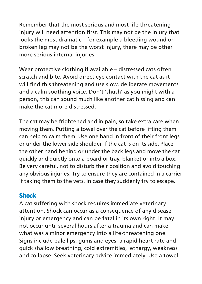Remember that the most serious and most life threatening injury will need attention first. This may not be the injury that looks the most dramatic – for example a bleeding wound or broken leg may not be the worst injury, there may be other more serious internal injuries.

Wear protective clothing if available – distressed cats often scratch and bite. Avoid direct eye contact with the cat as it will find this threatening and use slow, deliberate movements and a calm soothing voice. Don't 'shush' as you might with a person, this can sound much like another cat hissing and can make the cat more distressed.

The cat may be frightened and in pain, so take extra care when moving them. Putting a towel over the cat before lifting them can help to calm them. Use one hand in front of their front legs or under the lower side shoulder if the cat is on its side. Place the other hand behind or under the back legs and move the cat quickly and quietly onto a board or tray, blanket or into a box. Be very careful, not to disturb their position and avoid touching any obvious injuries. Try to ensure they are contained in a carrier if taking them to the vets, in case they suddenly try to escape.

#### **Shock**

A cat suffering with shock requires immediate veterinary attention. Shock can occur as a consequence of any disease, injury or emergency and can be fatal in its own right. It may not occur until several hours after a trauma and can make what was a minor emergency into a life-threatening one. Signs include pale lips, gums and eyes, a rapid heart rate and quick shallow breathing, cold extremities, lethargy, weakness and collapse. Seek veterinary advice immediately. Use a towel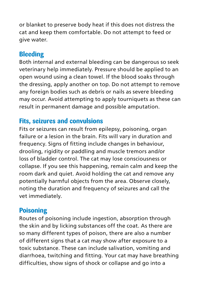or blanket to preserve body heat if this does not distress the cat and keep them comfortable. Do not attempt to feed or give water.

#### **Bleeding**

Both internal and external bleeding can be dangerous so seek veterinary help immediately. Pressure should be applied to an open wound using a clean towel. If the blood soaks through the dressing, apply another on top. Do not attempt to remove any foreign bodies such as debris or nails as severe bleeding may occur. Avoid attempting to apply tourniquets as these can result in permanent damage and possible amputation.

#### **Fits, seizures and convulsions**

Fits or seizures can result from epilepsy, poisoning, organ failure or a lesion in the brain. Fits will vary in duration and frequency. Signs of fitting include changes in behaviour, drooling, rigidity or paddling and muscle tremors and/or loss of bladder control. The cat may lose consciousness or collapse. If you see this happening, remain calm and keep the room dark and quiet. Avoid holding the cat and remove any potentially harmful objects from the area. Observe closely, noting the duration and frequency of seizures and call the vet immediately.

#### **Poisoning**

Routes of poisoning include ingestion, absorption through the skin and by licking substances off the coat. As there are so many different types of poison, there are also a number of different signs that a cat may show after exposure to a toxic substance. These can include salivation, vomiting and diarrhoea, twitching and fitting. Your cat may have breathing difficulties, show signs of shock or collapse and go into a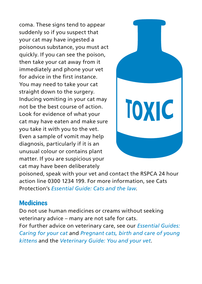coma. These signs tend to appear suddenly so if you suspect that your cat may have ingested a poisonous substance, you must act quickly. If you can see the poison, then take your cat away from it immediately and phone your vet for advice in the first instance. You may need to take your cat straight down to the surgery. Inducing vomiting in your cat may not be the best course of action. Look for evidence of what your cat may have eaten and make sure you take it with you to the vet. Even a sample of vomit may help diagnosis, particularly if it is an unusual colour or contains plant matter. If you are suspicious your cat may have been deliberately



poisoned, speak with your vet and contact the RSPCA 24 hour action line 0300 1234 199. For more information, see Cats Protection's *Essential Guide: Cats and the law*.

#### **Medicines**

Do not use human medicines or creams without seeking veterinary advice – many are not safe for cats.

For further advice on veterinary care, see our *Essential Guides: Caring for your cat* and *Pregnant cats, birth and care of young kittens* and the *Veterinary Guide: You and your vet*.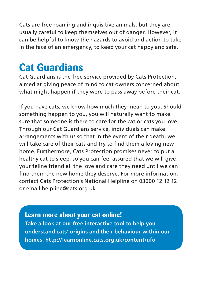Cats are free roaming and inquisitive animals, but they are usually careful to keep themselves out of danger. However, it can be helpful to know the hazards to avoid and action to take in the face of an emergency, to keep your cat happy and safe.

### **Cat Guardians**

Cat Guardians is the free service provided by Cats Protection, aimed at giving peace of mind to cat owners concerned about what might happen if they were to pass away before their cat.

If you have cats, we know how much they mean to you. Should something happen to you, you will naturally want to make sure that someone is there to care for the cat or cats you love. Through our Cat Guardians service, individuals can make arrangements with us so that in the event of their death, we will take care of their cats and try to find them a loving new home. Furthermore, Cats Protection promises never to put a healthy cat to sleep, so you can feel assured that we will give your feline friend all the love and care they need until we can find them the new home they deserve. For more information, contact Cats Protection's National Helpline on 03000 12 12 12 or email helpline@cats.org.uk

**Learn more about your cat online! Take a look at our free interactive tool to help you understand cats' origins and their behaviour within our homes. http://learnonline.cats.org.uk/content/ufo**